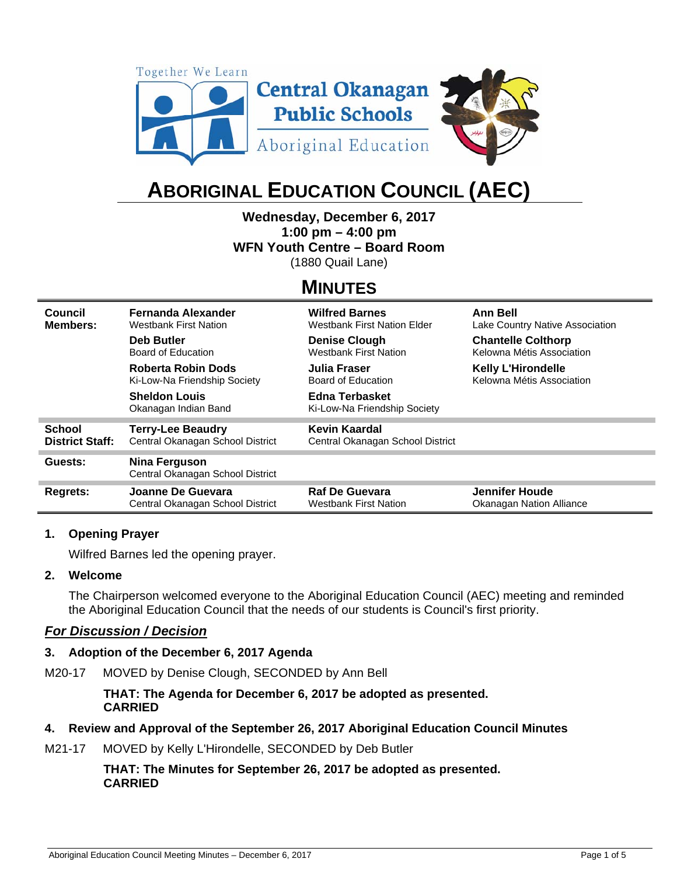

# **ABORIGINAL EDUCATION COUNCIL (AEC)**

## **Wednesday, December 6, 2017**

**1:00 pm – 4:00 pm** 

**WFN Youth Centre – Board Room** 

(1880 Quail Lane)

### **MINUTES**

| Council                | <b>Fernanda Alexander</b>                                | <b>Wilfred Barnes</b>                          | <b>Ann Bell</b>                 |
|------------------------|----------------------------------------------------------|------------------------------------------------|---------------------------------|
| Members:               | <b>Westbank First Nation</b>                             | <b>Westbank First Nation Elder</b>             | Lake Country Native Association |
|                        | Deb Butler                                               | <b>Denise Clough</b>                           | <b>Chantelle Colthorp</b>       |
|                        | Board of Education                                       | <b>Westbank First Nation</b>                   | Kelowna Métis Association       |
|                        | <b>Roberta Robin Dods</b>                                | Julia Fraser                                   | <b>Kelly L'Hirondelle</b>       |
|                        | Ki-Low-Na Friendship Society                             | Board of Education                             | Kelowna Métis Association       |
|                        | <b>Sheldon Louis</b><br>Okanagan Indian Band             | Edna Terbasket<br>Ki-Low-Na Friendship Society |                                 |
| <b>School</b>          | <b>Terry-Lee Beaudry</b>                                 | Kevin Kaardal                                  |                                 |
| <b>District Staff:</b> | Central Okanagan School District                         | Central Okanagan School District               |                                 |
| Guests:                | <b>Nina Ferguson</b><br>Central Okanagan School District |                                                |                                 |
| Regrets:               | Joanne De Guevara                                        | <b>Raf De Guevara</b>                          | Jennifer Houde                  |
|                        | Central Okanagan School District                         | Westbank First Nation                          | Okanagan Nation Alliance        |

#### **1. Opening Prayer**

Wilfred Barnes led the opening prayer.

#### **2. Welcome**

The Chairperson welcomed everyone to the Aboriginal Education Council (AEC) meeting and reminded the Aboriginal Education Council that the needs of our students is Council's first priority.

#### *For Discussion / Decision*

#### **3. Adoption of the December 6, 2017 Agenda**

M20-17 MOVED by Denise Clough, SECONDED by Ann Bell

**THAT: The Agenda for December 6, 2017 be adopted as presented. CARRIED** 

#### **4. Review and Approval of the September 26, 2017 Aboriginal Education Council Minutes**

M21-17 MOVED by Kelly L'Hirondelle, SECONDED by Deb Butler

**THAT: The Minutes for September 26, 2017 be adopted as presented. CARRIED**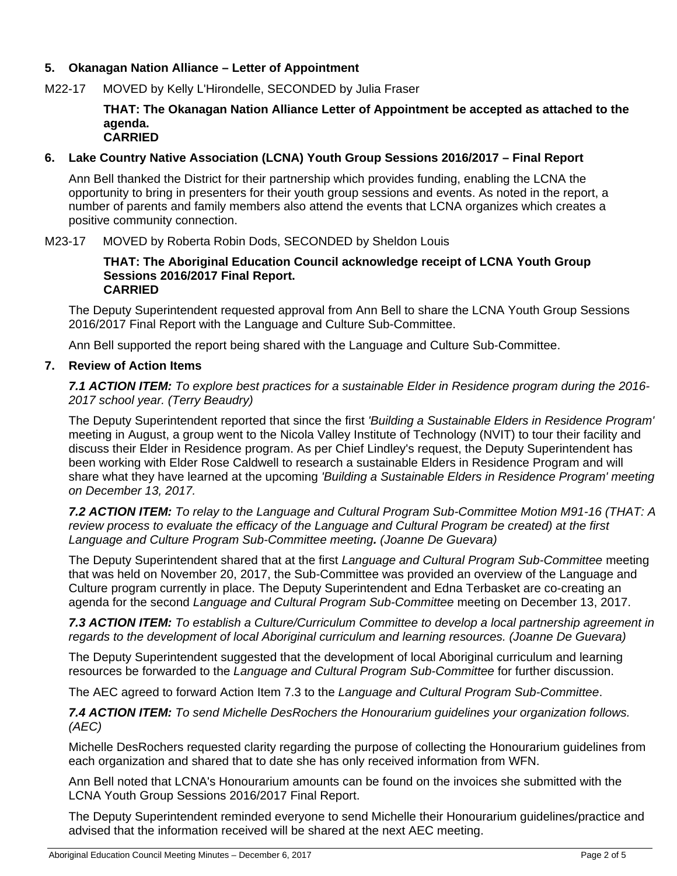#### **5. Okanagan Nation Alliance – Letter of Appointment**

M22-17 MOVED by Kelly L'Hirondelle, SECONDED by Julia Fraser

#### **THAT: The Okanagan Nation Alliance Letter of Appointment be accepted as attached to the agenda. CARRIED**

#### **6. Lake Country Native Association (LCNA) Youth Group Sessions 2016/2017 – Final Report**

Ann Bell thanked the District for their partnership which provides funding, enabling the LCNA the opportunity to bring in presenters for their youth group sessions and events. As noted in the report, a number of parents and family members also attend the events that LCNA organizes which creates a positive community connection.

M23-17 MOVED by Roberta Robin Dods, SECONDED by Sheldon Louis

#### **THAT: The Aboriginal Education Council acknowledge receipt of LCNA Youth Group Sessions 2016/2017 Final Report. CARRIED**

The Deputy Superintendent requested approval from Ann Bell to share the LCNA Youth Group Sessions 2016/2017 Final Report with the Language and Culture Sub-Committee.

Ann Bell supported the report being shared with the Language and Culture Sub-Committee.

#### **7. Review of Action Items**

*7.1 ACTION ITEM: To explore best practices for a sustainable Elder in Residence program during the 2016- 2017 school year. (Terry Beaudry)* 

The Deputy Superintendent reported that since the first *'Building a Sustainable Elders in Residence Program'* meeting in August, a group went to the Nicola Valley Institute of Technology (NVIT) to tour their facility and discuss their Elder in Residence program. As per Chief Lindley's request, the Deputy Superintendent has been working with Elder Rose Caldwell to research a sustainable Elders in Residence Program and will share what they have learned at the upcoming *'Building a Sustainable Elders in Residence Program' meeting on December 13, 2017.* 

*7.2 ACTION ITEM: To relay to the Language and Cultural Program Sub-Committee Motion M91-16 (THAT: A review process to evaluate the efficacy of the Language and Cultural Program be created) at the first Language and Culture Program Sub-Committee meeting. (Joanne De Guevara)* 

The Deputy Superintendent shared that at the first *Language and Cultural Program Sub-Committee* meeting that was held on November 20, 2017, the Sub-Committee was provided an overview of the Language and Culture program currently in place. The Deputy Superintendent and Edna Terbasket are co-creating an agenda for the second *Language and Cultural Program Sub-Committee* meeting on December 13, 2017.

*7.3 ACTION ITEM: To establish a Culture/Curriculum Committee to develop a local partnership agreement in regards to the development of local Aboriginal curriculum and learning resources. (Joanne De Guevara)* 

The Deputy Superintendent suggested that the development of local Aboriginal curriculum and learning resources be forwarded to the *Language and Cultural Program Sub-Committee* for further discussion.

The AEC agreed to forward Action Item 7.3 to the *Language and Cultural Program Sub-Committee*.

*7.4 ACTION ITEM: To send Michelle DesRochers the Honourarium guidelines your organization follows. (AEC)* 

Michelle DesRochers requested clarity regarding the purpose of collecting the Honourarium guidelines from each organization and shared that to date she has only received information from WFN.

Ann Bell noted that LCNA's Honourarium amounts can be found on the invoices she submitted with the LCNA Youth Group Sessions 2016/2017 Final Report.

The Deputy Superintendent reminded everyone to send Michelle their Honourarium guidelines/practice and advised that the information received will be shared at the next AEC meeting.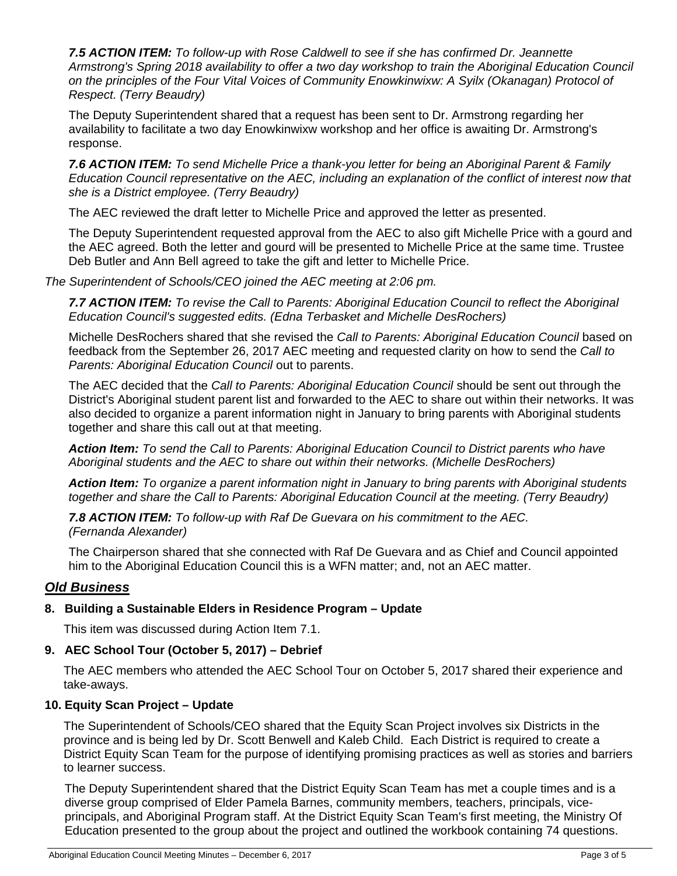*7.5 ACTION ITEM: To follow-up with Rose Caldwell to see if she has confirmed Dr. Jeannette Armstrong's Spring 2018 availability to offer a two day workshop to train the Aboriginal Education Council on the principles of the Four Vital Voices of Community Enowkinwixw: A Syilx (Okanagan) Protocol of Respect. (Terry Beaudry)* 

The Deputy Superintendent shared that a request has been sent to Dr. Armstrong regarding her availability to facilitate a two day Enowkinwixw workshop and her office is awaiting Dr. Armstrong's response.

*7.6 ACTION ITEM: To send Michelle Price a thank-you letter for being an Aboriginal Parent & Family Education Council representative on the AEC, including an explanation of the conflict of interest now that she is a District employee. (Terry Beaudry)* 

The AEC reviewed the draft letter to Michelle Price and approved the letter as presented.

The Deputy Superintendent requested approval from the AEC to also gift Michelle Price with a gourd and the AEC agreed. Both the letter and gourd will be presented to Michelle Price at the same time. Trustee Deb Butler and Ann Bell agreed to take the gift and letter to Michelle Price.

*The Superintendent of Schools/CEO joined the AEC meeting at 2:06 pm.* 

*7.7 ACTION ITEM: To revise the Call to Parents: Aboriginal Education Council to reflect the Aboriginal Education Council's suggested edits. (Edna Terbasket and Michelle DesRochers)* 

Michelle DesRochers shared that she revised the *Call to Parents: Aboriginal Education Council* based on feedback from the September 26, 2017 AEC meeting and requested clarity on how to send the *Call to Parents: Aboriginal Education Council* out to parents.

The AEC decided that the *Call to Parents: Aboriginal Education Council* should be sent out through the District's Aboriginal student parent list and forwarded to the AEC to share out within their networks. It was also decided to organize a parent information night in January to bring parents with Aboriginal students together and share this call out at that meeting.

*Action Item: To send the Call to Parents: Aboriginal Education Council to District parents who have Aboriginal students and the AEC to share out within their networks. (Michelle DesRochers)* 

*Action Item: To organize a parent information night in January to bring parents with Aboriginal students together and share the Call to Parents: Aboriginal Education Council at the meeting. (Terry Beaudry)* 

*7.8 ACTION ITEM: To follow-up with Raf De Guevara on his commitment to the AEC. (Fernanda Alexander)* 

The Chairperson shared that she connected with Raf De Guevara and as Chief and Council appointed him to the Aboriginal Education Council this is a WFN matter; and, not an AEC matter.

#### *Old Business*

#### **8. Building a Sustainable Elders in Residence Program – Update**

This item was discussed during Action Item 7.1.

#### **9. AEC School Tour (October 5, 2017) – Debrief**

The AEC members who attended the AEC School Tour on October 5, 2017 shared their experience and take-aways.

#### **10. Equity Scan Project – Update**

The Superintendent of Schools/CEO shared that the Equity Scan Project involves six Districts in the province and is being led by Dr. Scott Benwell and Kaleb Child. Each District is required to create a District Equity Scan Team for the purpose of identifying promising practices as well as stories and barriers to learner success.

The Deputy Superintendent shared that the District Equity Scan Team has met a couple times and is a diverse group comprised of Elder Pamela Barnes, community members, teachers, principals, viceprincipals, and Aboriginal Program staff. At the District Equity Scan Team's first meeting, the Ministry Of Education presented to the group about the project and outlined the workbook containing 74 questions.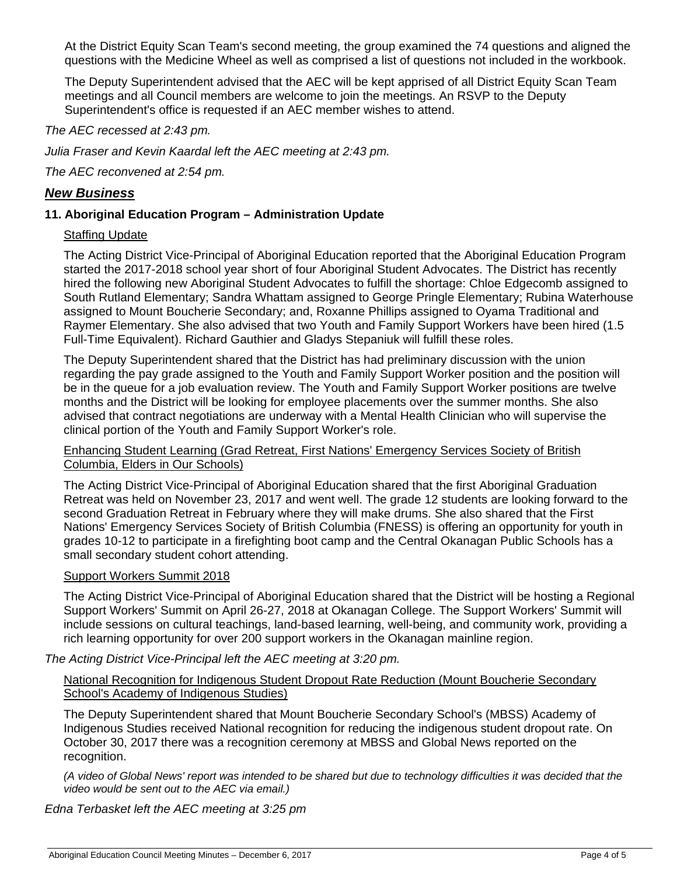At the District Equity Scan Team's second meeting, the group examined the 74 questions and aligned the questions with the Medicine Wheel as well as comprised a list of questions not included in the workbook.

The Deputy Superintendent advised that the AEC will be kept apprised of all District Equity Scan Team meetings and all Council members are welcome to join the meetings. An RSVP to the Deputy Superintendent's office is requested if an AEC member wishes to attend.

#### *The AEC recessed at 2:43 pm.*

*Julia Fraser and Kevin Kaardal left the AEC meeting at 2:43 pm.* 

*The AEC reconvened at 2:54 pm.* 

#### *New Business*

#### **11. Aboriginal Education Program – Administration Update**

#### Staffing Update

The Acting District Vice-Principal of Aboriginal Education reported that the Aboriginal Education Program started the 2017-2018 school year short of four Aboriginal Student Advocates. The District has recently hired the following new Aboriginal Student Advocates to fulfill the shortage: Chloe Edgecomb assigned to South Rutland Elementary; Sandra Whattam assigned to George Pringle Elementary; Rubina Waterhouse assigned to Mount Boucherie Secondary; and, Roxanne Phillips assigned to Oyama Traditional and Raymer Elementary. She also advised that two Youth and Family Support Workers have been hired (1.5 Full-Time Equivalent). Richard Gauthier and Gladys Stepaniuk will fulfill these roles.

The Deputy Superintendent shared that the District has had preliminary discussion with the union regarding the pay grade assigned to the Youth and Family Support Worker position and the position will be in the queue for a job evaluation review. The Youth and Family Support Worker positions are twelve months and the District will be looking for employee placements over the summer months. She also advised that contract negotiations are underway with a Mental Health Clinician who will supervise the clinical portion of the Youth and Family Support Worker's role.

#### Enhancing Student Learning (Grad Retreat, First Nations' Emergency Services Society of British Columbia, Elders in Our Schools)

The Acting District Vice-Principal of Aboriginal Education shared that the first Aboriginal Graduation Retreat was held on November 23, 2017 and went well. The grade 12 students are looking forward to the second Graduation Retreat in February where they will make drums. She also shared that the First Nations' Emergency Services Society of British Columbia (FNESS) is offering an opportunity for youth in grades 10-12 to participate in a firefighting boot camp and the Central Okanagan Public Schools has a small secondary student cohort attending.

#### Support Workers Summit 2018

The Acting District Vice-Principal of Aboriginal Education shared that the District will be hosting a Regional Support Workers' Summit on April 26-27, 2018 at Okanagan College. The Support Workers' Summit will include sessions on cultural teachings, land-based learning, well-being, and community work, providing a rich learning opportunity for over 200 support workers in the Okanagan mainline region.

*The Acting District Vice-Principal left the AEC meeting at 3:20 pm.* 

#### National Recognition for Indigenous Student Dropout Rate Reduction (Mount Boucherie Secondary School's Academy of Indigenous Studies)

The Deputy Superintendent shared that Mount Boucherie Secondary School's (MBSS) Academy of Indigenous Studies received National recognition for reducing the indigenous student dropout rate. On October 30, 2017 there was a recognition ceremony at MBSS and Global News reported on the recognition.

*(A video of Global News' report was intended to be shared but due to technology difficulties it was decided that the video would be sent out to the AEC via email.)* 

*Edna Terbasket left the AEC meeting at 3:25 pm*